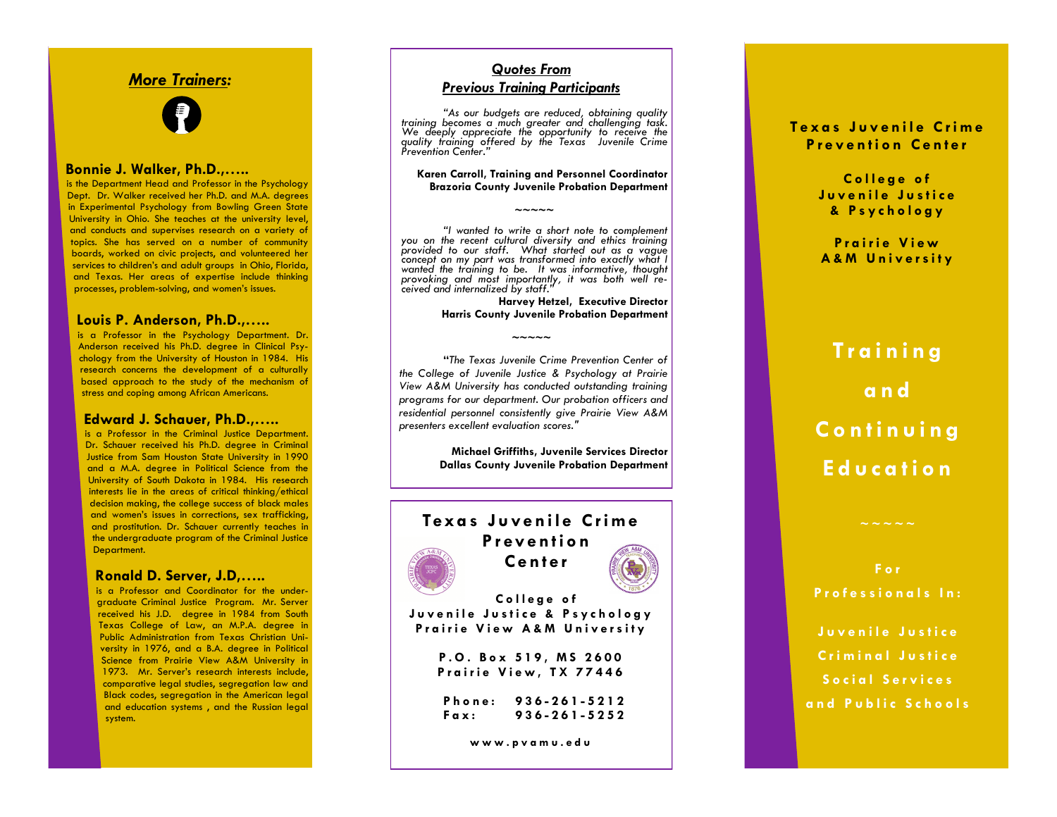## *More Trainers :*



#### **Bonnie J. Walker, Ph.D.,…..**

is the Department Head and Professor in the Psychology Dept. Dr. Walker received her Ph.D. and M.A. degrees in Experimental Psychology from Bowling Green State University in Ohio. She teaches at the university level, and conducts and supervises research on a variety of topics. She has served on a number of community boards, worked on civic projects, and volunteered her services to children's and adult groups in Ohio, Florida, and Texas. Her areas of expertise include thinking processes, problem -solving, and women's issues.

#### **Louis P. Anderson, Ph.D.,…..**

is a Professor in the Psychology Department. Dr. Anderson received his Ph.D. degree in Clinical Psychology from the University of Houston in 1984. His research concerns the development of a culturally based approach to the study of the mechanism of stress and coping among African Americans.

#### **Edward J. Schauer, Ph.D.,…..**

is a Professor in the Criminal Justice Department. Dr. Schauer received his Ph.D. degree in Criminal Justice from Sam Houston State University in 1990 and a M.A. degree in Political Science from the University of South Dakota in 1984. His research interests lie in the areas of critical thinking/ethical decision making, the college success of black males and women's issues in corrections, sex trafficking, and prostitution. Dr. Schauer currently teaches in the undergraduate program of the Criminal Justice Department.

#### **Ronald D. Server, J.D,…..**

is a Professor and Coordinator for the undergraduate Criminal Justice Program. Mr. Server received his J.D. degree in 1984 from South Texas College of Law, an M.P.A. degree in Public Administration from Texas Christian University in 1976, and a B.A. degree in Political Science from Prairie View A&M University in 1973. Mr. Server's research interests include, comparative legal studies, segregation law and Black codes, segregation in the American legal and education systems , and the Russian legal system.

#### *Quotes From*

#### *Previous Training Participants*

*"As our budgets are reduced, obtaining quality training becomes a much greater and challenging task. We deeply appreciate the opportunity to receive the quality training offered by the Texas Juvenile Crime Prevention Center."*

#### **Karen Carroll, Training and Personnel Coordinator Brazoria County Juvenile Probation Department**

*"I wanted to write a short note to complement you on the recent cultural diversity and ethics training provided to our staff. What started out as a vague concept on my part was transformed into exactly what I wanted the training to be. It was informative, thought provoking and most importantly, it was both well received and internalized by staff."*

**~~~~~**

**Harvey Hetzel, Executive Director Harris County Juvenile Probation Department**

**"***The Texas Juvenile Crime Prevention Center of the College of Juvenile Justice & Psychology at Prairie View A&M University has conducted outstanding training programs for our department. Our probation officers and residential personnel consistently give Prairie View A&M presenters excellent evaluation scores."*

**~~~~~**

**Michael Griffiths, Juvenile Services Director Dallas County Juvenile Probation Department**

# Texas Juvenile Crime **P r ev e n t i o n C e n t e r C o l l e g e o f**

**J u v e n i l e J u s t i c e & P s y c h o l o g y Prairie View A&M University** 

> **P . O . B o x 5 1 9 , M S 2 6 0 0 Prairie View, TX 77446**

**P h o n e : 936 - 261 - 5212 F a x : 936 - 261 - 5252**

**w w w . p v a m u . e d u**

#### **T e x a s J u v e n i l e C r i m e P r e v e n t i o n C e n t e r**

College of **J u v e n i l e J u s t i c e & P s y c h o l o g y**

**P r a i r i e V i e w A & M U n i v e r s i t y**

**T r a i n i n g a n d C o n t i n u i n g E d u c a t i o n**

**F o r P r o f e s s i o n a l s I n :** 

**J u v e n i l e J u s t i c e C r i m i n a l J u s t i c e S o c i a l S e r v i c e s a n d P u b l i c S c h o o l s**